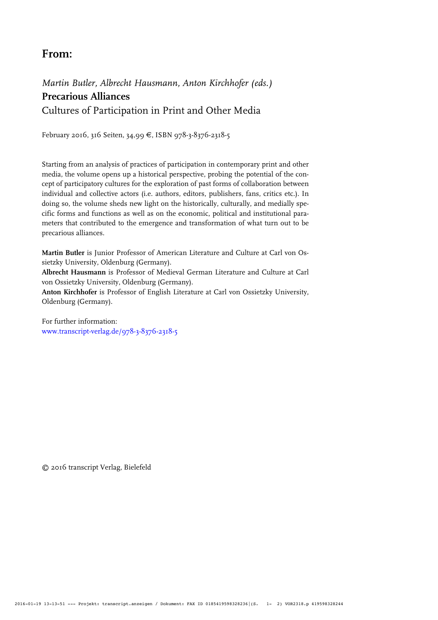## **From:**

## *Martin Butler, Albrecht Hausmann, Anton Kirchhofer (eds.)* **Precarious Alliances** Cultures of Participation in Print and Other Media

February 2016, 316 Seiten, 34,99 €, ISBN 978-3-8376-2318-5

Starting from an analysis of practices of participation in contemporary print and other media, the volume opens up a historical perspective, probing the potential of the concept of participatory cultures for the exploration of past forms of collaboration between individual and collective actors (i.e. authors, editors, publishers, fans, critics etc.). In doing so, the volume sheds new light on the historically, culturally, and medially specific forms and functions as well as on the economic, political and institutional parameters that contributed to the emergence and transformation of what turn out to be precarious alliances.

**Martin Butler** is Junior Professor of American Literature and Culture at Carl von Ossietzky University, Oldenburg (Germany).

**Albrecht Hausmann** is Professor of Medieval German Literature and Culture at Carl von Ossietzky University, Oldenburg (Germany).

**Anton Kirchhofer** is Professor of English Literature at Carl von Ossietzky University, Oldenburg (Germany).

For further information: [www.transcript-verlag.de/978-3-8376-2318-5](http://www.transcript-verlag.de/978-3-8376-2318-5)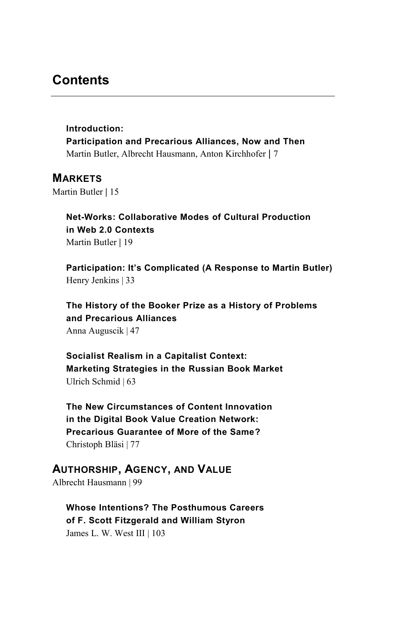### **Contents**

**Introduction: Participation and Precarious Alliances, Now and Then** Martin Butler, Albrecht Hausmann, Anton Kirchhofer | 7

**MARKETS** Martin Butler **|** 15

> **Net-Works: Collaborative Modes of Cultural Production in Web 2.0 Contexts** Martin Butler **|** 19

**Participation: It's Complicated (A Response to Martin Butler)** Henry Jenkins | 33

**The History of the Booker Prize as a History of Problems and Precarious Alliances** Anna Auguscik | 47

**Socialist Realism in a Capitalist Context: Marketing Strategies in the Russian Book Market** Ulrich Schmid | 63

**The New Circumstances of Content Innovation in the Digital Book Value Creation Network: Precarious Guarantee of More of the Same?** Christoph Bläsi | 77

### **AUTHORSHIP, AGENCY, AND VALUE**

Albrecht Hausmann | 99

**Whose Intentions? The Posthumous Careers of F. Scott Fitzgerald and William Styron** James L. W. West III | 103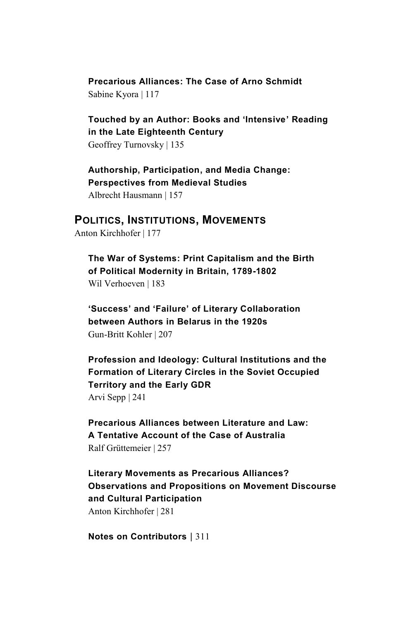**Precarious Alliances: The Case of Arno Schmidt**  Sabine Kyora | 117

### **Touched by an Author: Books and 'Intensive' Reading in the Late Eighteenth Century**

Geoffrey Turnovsky | 135

#### **Authorship, Participation, and Media Change: Perspectives from Medieval Studies**  Albrecht Hausmann | 157

### **POLITICS, INSTITUTIONS, MOVEMENTS**

Anton Kirchhofer | 177

**The War of Systems: Print Capitalism and the Birth of Political Modernity in Britain, 1789-1802**  Wil Verhoeven | 183

**'Success' and 'Failure' of Literary Collaboration between Authors in Belarus in the 1920s**  Gun-Britt Kohler | 207

**Profession and Ideology: Cultural Institutions and the Formation of Literary Circles in the Soviet Occupied Territory and the Early GDR**  Arvi Sepp | 241

**Precarious Alliances between Literature and Law: A Tentative Account of the Case of Australia**  Ralf Grüttemeier | 257

**Literary Movements as Precarious Alliances? Observations and Propositions on Movement Discourse and Cultural Participation** 

Anton Kirchhofer | 281

**Notes on Contributors** | 311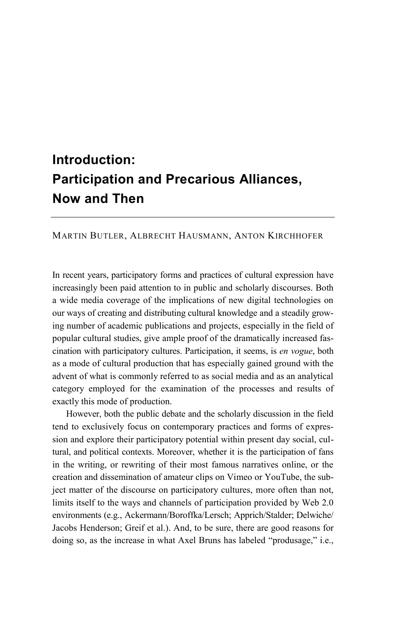# **Introduction: Participation and Precarious Alliances, Now and Then**

#### MARTIN BUTLER, ALBRECHT HAUSMANN, ANTON KIRCHHOFER

In recent years, participatory forms and practices of cultural expression have increasingly been paid attention to in public and scholarly discourses. Both a wide media coverage of the implications of new digital technologies on our ways of creating and distributing cultural knowledge and a steadily growing number of academic publications and projects, especially in the field of popular cultural studies, give ample proof of the dramatically increased fascination with participatory cultures. Participation, it seems, is *en vogue*, both as a mode of cultural production that has especially gained ground with the advent of what is commonly referred to as social media and as an analytical category employed for the examination of the processes and results of exactly this mode of production.

However, both the public debate and the scholarly discussion in the field tend to exclusively focus on contemporary practices and forms of expression and explore their participatory potential within present day social, cultural, and political contexts. Moreover, whether it is the participation of fans in the writing, or rewriting of their most famous narratives online, or the creation and dissemination of amateur clips on Vimeo or YouTube, the subject matter of the discourse on participatory cultures, more often than not, limits itself to the ways and channels of participation provided by Web 2.0 environments (e.g., Ackermann/Boroffka/Lersch; Apprich/Stalder; Delwiche/ Jacobs Henderson; Greif et al.). And, to be sure, there are good reasons for doing so, as the increase in what Axel Bruns has labeled "produsage," i.e.,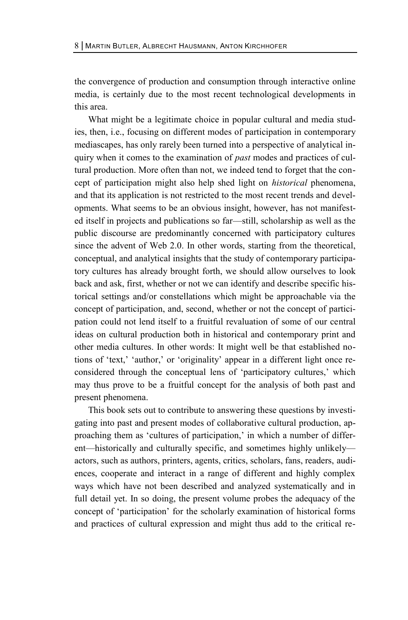the convergence of production and consumption through interactive online media, is certainly due to the most recent technological developments in this area.

What might be a legitimate choice in popular cultural and media studies, then, i.e., focusing on different modes of participation in contemporary mediascapes, has only rarely been turned into a perspective of analytical inquiry when it comes to the examination of *past* modes and practices of cultural production. More often than not, we indeed tend to forget that the concept of participation might also help shed light on *historical* phenomena, and that its application is not restricted to the most recent trends and developments. What seems to be an obvious insight, however, has not manifested itself in projects and publications so far—still, scholarship as well as the public discourse are predominantly concerned with participatory cultures since the advent of Web 2.0. In other words, starting from the theoretical, conceptual, and analytical insights that the study of contemporary participatory cultures has already brought forth, we should allow ourselves to look back and ask, first, whether or not we can identify and describe specific historical settings and/or constellations which might be approachable via the concept of participation, and, second, whether or not the concept of participation could not lend itself to a fruitful revaluation of some of our central ideas on cultural production both in historical and contemporary print and other media cultures. In other words: It might well be that established notions of 'text,' 'author,' or 'originality' appear in a different light once reconsidered through the conceptual lens of 'participatory cultures,' which may thus prove to be a fruitful concept for the analysis of both past and present phenomena.

This book sets out to contribute to answering these questions by investigating into past and present modes of collaborative cultural production, approaching them as 'cultures of participation,' in which a number of different—historically and culturally specific, and sometimes highly unlikely actors, such as authors, printers, agents, critics, scholars, fans, readers, audiences, cooperate and interact in a range of different and highly complex ways which have not been described and analyzed systematically and in full detail yet. In so doing, the present volume probes the adequacy of the concept of 'participation' for the scholarly examination of historical forms and practices of cultural expression and might thus add to the critical re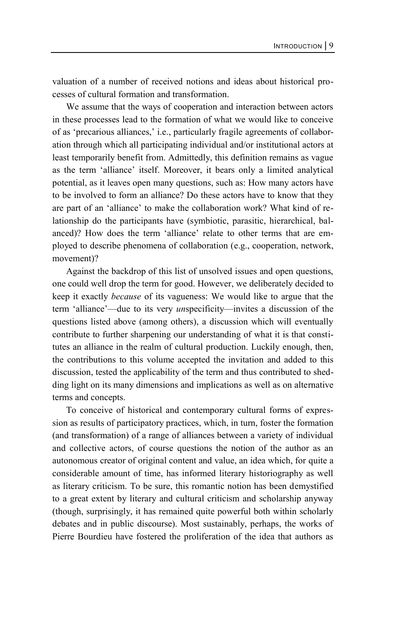valuation of a number of received notions and ideas about historical processes of cultural formation and transformation.

We assume that the ways of cooperation and interaction between actors in these processes lead to the formation of what we would like to conceive of as 'precarious alliances,' i.e., particularly fragile agreements of collaboration through which all participating individual and/or institutional actors at least temporarily benefit from. Admittedly, this definition remains as vague as the term 'alliance' itself. Moreover, it bears only a limited analytical potential, as it leaves open many questions, such as: How many actors have to be involved to form an alliance? Do these actors have to know that they are part of an 'alliance' to make the collaboration work? What kind of relationship do the participants have (symbiotic, parasitic, hierarchical, balanced)? How does the term 'alliance' relate to other terms that are employed to describe phenomena of collaboration (e.g., cooperation, network, movement)?

Against the backdrop of this list of unsolved issues and open questions, one could well drop the term for good. However, we deliberately decided to keep it exactly *because* of its vagueness: We would like to argue that the term 'alliance'—due to its very *un*specificity—invites a discussion of the questions listed above (among others), a discussion which will eventually contribute to further sharpening our understanding of what it is that constitutes an alliance in the realm of cultural production. Luckily enough, then, the contributions to this volume accepted the invitation and added to this discussion, tested the applicability of the term and thus contributed to shedding light on its many dimensions and implications as well as on alternative terms and concepts.

To conceive of historical and contemporary cultural forms of expression as results of participatory practices, which, in turn, foster the formation (and transformation) of a range of alliances between a variety of individual and collective actors, of course questions the notion of the author as an autonomous creator of original content and value, an idea which, for quite a considerable amount of time, has informed literary historiography as well as literary criticism. To be sure, this romantic notion has been demystified to a great extent by literary and cultural criticism and scholarship anyway (though, surprisingly, it has remained quite powerful both within scholarly debates and in public discourse). Most sustainably, perhaps, the works of Pierre Bourdieu have fostered the proliferation of the idea that authors as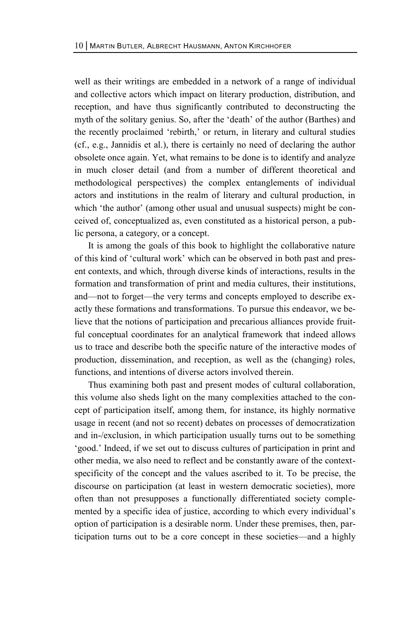well as their writings are embedded in a network of a range of individual and collective actors which impact on literary production, distribution, and reception, and have thus significantly contributed to deconstructing the myth of the solitary genius. So, after the 'death' of the author (Barthes) and the recently proclaimed 'rebirth,' or return, in literary and cultural studies (cf., e.g., Jannidis et al.), there is certainly no need of declaring the author obsolete once again. Yet, what remains to be done is to identify and analyze in much closer detail (and from a number of different theoretical and methodological perspectives) the complex entanglements of individual actors and institutions in the realm of literary and cultural production, in which 'the author' (among other usual and unusual suspects) might be conceived of, conceptualized as, even constituted as a historical person, a public persona, a category, or a concept.

It is among the goals of this book to highlight the collaborative nature of this kind of 'cultural work' which can be observed in both past and present contexts, and which, through diverse kinds of interactions, results in the formation and transformation of print and media cultures, their institutions, and—not to forget—the very terms and concepts employed to describe exactly these formations and transformations. To pursue this endeavor, we believe that the notions of participation and precarious alliances provide fruitful conceptual coordinates for an analytical framework that indeed allows us to trace and describe both the specific nature of the interactive modes of production, dissemination, and reception, as well as the (changing) roles, functions, and intentions of diverse actors involved therein.

Thus examining both past and present modes of cultural collaboration, this volume also sheds light on the many complexities attached to the concept of participation itself, among them, for instance, its highly normative usage in recent (and not so recent) debates on processes of democratization and in-/exclusion, in which participation usually turns out to be something 'good.' Indeed, if we set out to discuss cultures of participation in print and other media, we also need to reflect and be constantly aware of the contextspecificity of the concept and the values ascribed to it. To be precise, the discourse on participation (at least in western democratic societies), more often than not presupposes a functionally differentiated society complemented by a specific idea of justice, according to which every individual's option of participation is a desirable norm. Under these premises, then, participation turns out to be a core concept in these societies—and a highly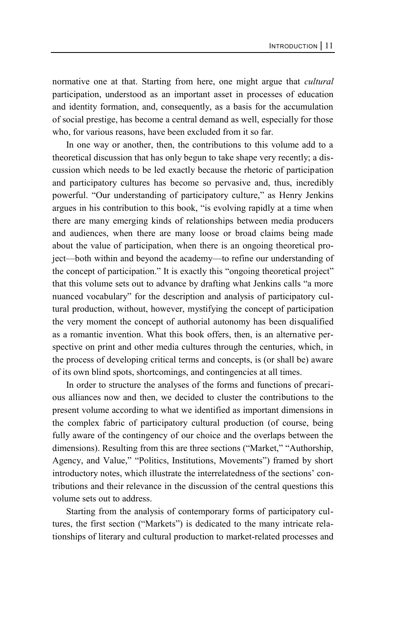normative one at that. Starting from here, one might argue that *cultural* participation, understood as an important asset in processes of education and identity formation, and, consequently, as a basis for the accumulation of social prestige, has become a central demand as well, especially for those who, for various reasons, have been excluded from it so far.

In one way or another, then, the contributions to this volume add to a theoretical discussion that has only begun to take shape very recently; a discussion which needs to be led exactly because the rhetoric of participation and participatory cultures has become so pervasive and, thus, incredibly powerful. "Our understanding of participatory culture," as Henry Jenkins argues in his contribution to this book, "is evolving rapidly at a time when there are many emerging kinds of relationships between media producers and audiences, when there are many loose or broad claims being made about the value of participation, when there is an ongoing theoretical project—both within and beyond the academy—to refine our understanding of the concept of participation." It is exactly this "ongoing theoretical project" that this volume sets out to advance by drafting what Jenkins calls "a more nuanced vocabulary" for the description and analysis of participatory cultural production, without, however, mystifying the concept of participation the very moment the concept of authorial autonomy has been disqualified as a romantic invention. What this book offers, then, is an alternative perspective on print and other media cultures through the centuries, which, in the process of developing critical terms and concepts, is (or shall be) aware of its own blind spots, shortcomings, and contingencies at all times.

In order to structure the analyses of the forms and functions of precarious alliances now and then, we decided to cluster the contributions to the present volume according to what we identified as important dimensions in the complex fabric of participatory cultural production (of course, being fully aware of the contingency of our choice and the overlaps between the dimensions). Resulting from this are three sections ("Market," "Authorship, Agency, and Value," "Politics, Institutions, Movements") framed by short introductory notes, which illustrate the interrelatedness of the sections' contributions and their relevance in the discussion of the central questions this volume sets out to address.

Starting from the analysis of contemporary forms of participatory cultures, the first section ("Markets") is dedicated to the many intricate relationships of literary and cultural production to market-related processes and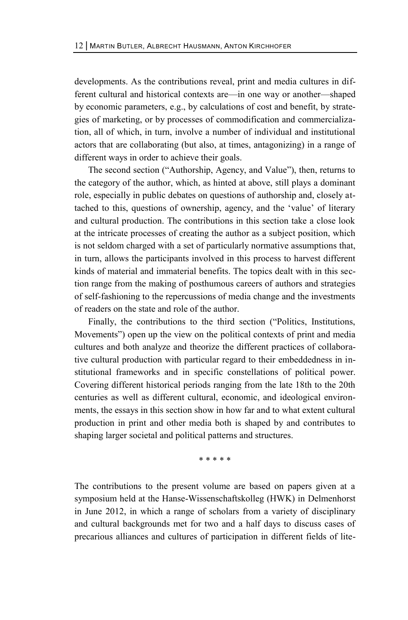developments. As the contributions reveal, print and media cultures in different cultural and historical contexts are—in one way or another—shaped by economic parameters, e.g., by calculations of cost and benefit, by strategies of marketing, or by processes of commodification and commercialization, all of which, in turn, involve a number of individual and institutional actors that are collaborating (but also, at times, antagonizing) in a range of different ways in order to achieve their goals.

The second section ("Authorship, Agency, and Value"), then, returns to the category of the author, which, as hinted at above, still plays a dominant role, especially in public debates on questions of authorship and, closely attached to this, questions of ownership, agency, and the 'value' of literary and cultural production. The contributions in this section take a close look at the intricate processes of creating the author as a subject position, which is not seldom charged with a set of particularly normative assumptions that, in turn, allows the participants involved in this process to harvest different kinds of material and immaterial benefits. The topics dealt with in this section range from the making of posthumous careers of authors and strategies of self-fashioning to the repercussions of media change and the investments of readers on the state and role of the author.

Finally, the contributions to the third section ("Politics, Institutions, Movements") open up the view on the political contexts of print and media cultures and both analyze and theorize the different practices of collaborative cultural production with particular regard to their embeddedness in institutional frameworks and in specific constellations of political power. Covering different historical periods ranging from the late 18th to the 20th centuries as well as different cultural, economic, and ideological environments, the essays in this section show in how far and to what extent cultural production in print and other media both is shaped by and contributes to shaping larger societal and political patterns and structures.

\* \* \* \* \*

The contributions to the present volume are based on papers given at a symposium held at the Hanse-Wissenschaftskolleg (HWK) in Delmenhorst in June 2012, in which a range of scholars from a variety of disciplinary and cultural backgrounds met for two and a half days to discuss cases of precarious alliances and cultures of participation in different fields of lite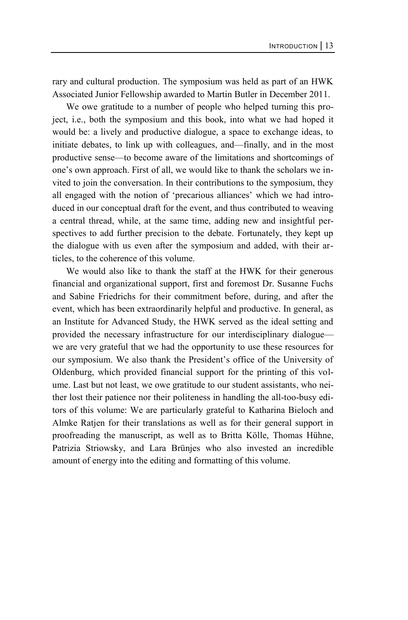rary and cultural production. The symposium was held as part of an HWK Associated Junior Fellowship awarded to Martin Butler in December 2011.

We owe gratitude to a number of people who helped turning this project, i.e., both the symposium and this book, into what we had hoped it would be: a lively and productive dialogue, a space to exchange ideas, to initiate debates, to link up with colleagues, and—finally, and in the most productive sense—to become aware of the limitations and shortcomings of one's own approach. First of all, we would like to thank the scholars we invited to join the conversation. In their contributions to the symposium, they all engaged with the notion of 'precarious alliances' which we had introduced in our conceptual draft for the event, and thus contributed to weaving a central thread, while, at the same time, adding new and insightful perspectives to add further precision to the debate. Fortunately, they kept up the dialogue with us even after the symposium and added, with their articles, to the coherence of this volume.

We would also like to thank the staff at the HWK for their generous financial and organizational support, first and foremost Dr. Susanne Fuchs and Sabine Friedrichs for their commitment before, during, and after the event, which has been extraordinarily helpful and productive. In general, as an Institute for Advanced Study, the HWK served as the ideal setting and provided the necessary infrastructure for our interdisciplinary dialogue we are very grateful that we had the opportunity to use these resources for our symposium. We also thank the President's office of the University of Oldenburg, which provided financial support for the printing of this volume. Last but not least, we owe gratitude to our student assistants, who neither lost their patience nor their politeness in handling the all-too-busy editors of this volume: We are particularly grateful to Katharina Bieloch and Almke Ratjen for their translations as well as for their general support in proofreading the manuscript, as well as to Britta Kölle, Thomas Hühne, Patrizia Striowsky, and Lara Brünjes who also invested an incredible amount of energy into the editing and formatting of this volume.